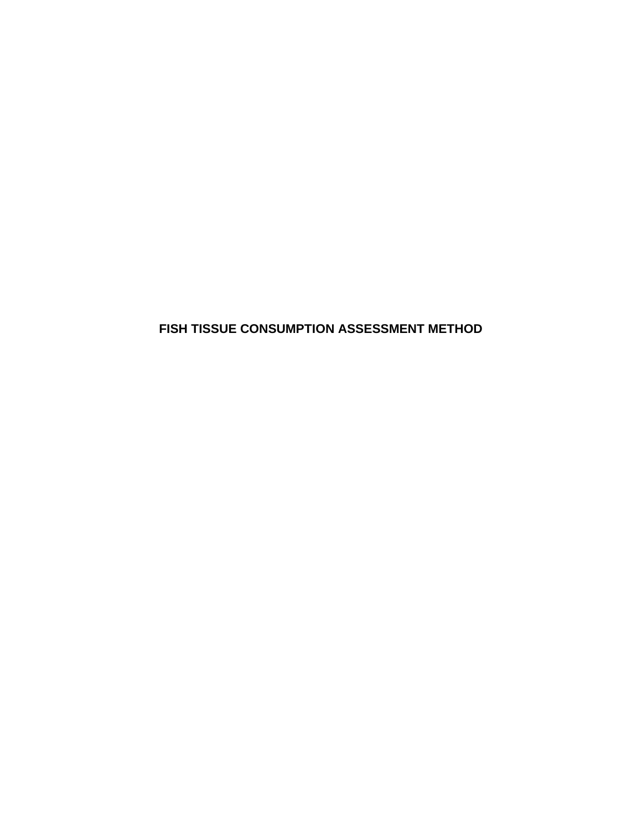**FISH TISSUE CONSUMPTION ASSESSMENT METHOD**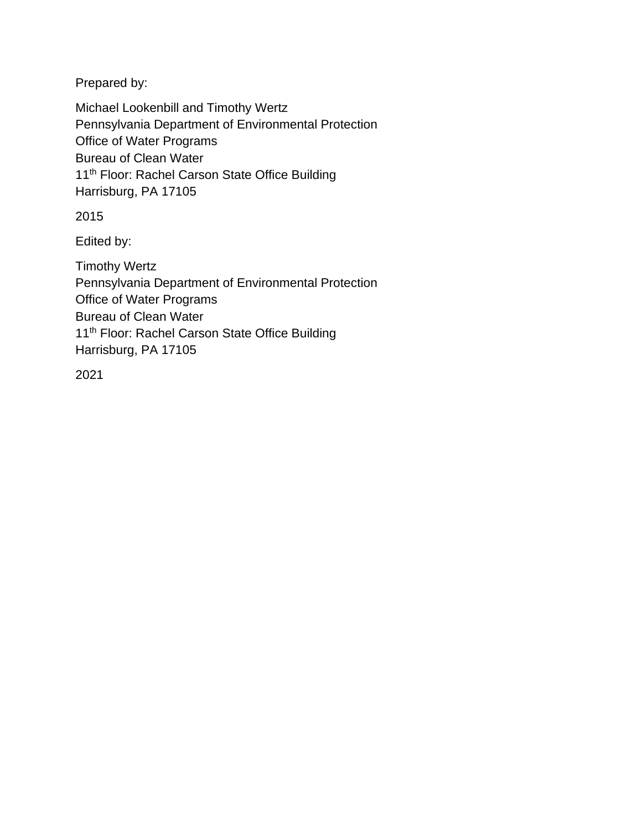Prepared by:

Michael Lookenbill and Timothy Wertz Pennsylvania Department of Environmental Protection Office of Water Programs Bureau of Clean Water 11<sup>th</sup> Floor: Rachel Carson State Office Building Harrisburg, PA 17105

2015

Edited by:

Timothy Wertz Pennsylvania Department of Environmental Protection Office of Water Programs Bureau of Clean Water 11<sup>th</sup> Floor: Rachel Carson State Office Building Harrisburg, PA 17105

2021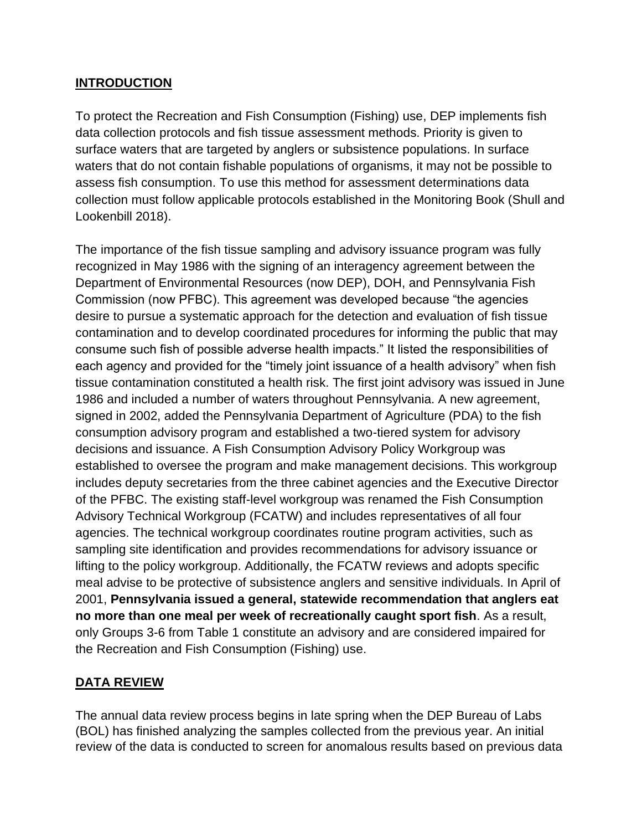#### **INTRODUCTION**

To protect the Recreation and Fish Consumption (Fishing) use, DEP implements fish data collection protocols and fish tissue assessment methods. Priority is given to surface waters that are targeted by anglers or subsistence populations. In surface waters that do not contain fishable populations of organisms, it may not be possible to assess fish consumption. To use this method for assessment determinations data collection must follow applicable protocols established in the Monitoring Book (Shull and Lookenbill 2018).

The importance of the fish tissue sampling and advisory issuance program was fully recognized in May 1986 with the signing of an interagency agreement between the Department of Environmental Resources (now DEP), DOH, and Pennsylvania Fish Commission (now PFBC). This agreement was developed because "the agencies desire to pursue a systematic approach for the detection and evaluation of fish tissue contamination and to develop coordinated procedures for informing the public that may consume such fish of possible adverse health impacts." It listed the responsibilities of each agency and provided for the "timely joint issuance of a health advisory" when fish tissue contamination constituted a health risk. The first joint advisory was issued in June 1986 and included a number of waters throughout Pennsylvania. A new agreement, signed in 2002, added the Pennsylvania Department of Agriculture (PDA) to the fish consumption advisory program and established a two-tiered system for advisory decisions and issuance. A Fish Consumption Advisory Policy Workgroup was established to oversee the program and make management decisions. This workgroup includes deputy secretaries from the three cabinet agencies and the Executive Director of the PFBC. The existing staff-level workgroup was renamed the Fish Consumption Advisory Technical Workgroup (FCATW) and includes representatives of all four agencies. The technical workgroup coordinates routine program activities, such as sampling site identification and provides recommendations for advisory issuance or lifting to the policy workgroup. Additionally, the FCATW reviews and adopts specific meal advise to be protective of subsistence anglers and sensitive individuals. In April of 2001, **Pennsylvania issued a general, statewide recommendation that anglers eat no more than one meal per week of recreationally caught sport fish**. As a result, only Groups 3-6 from Table 1 constitute an advisory and are considered impaired for the Recreation and Fish Consumption (Fishing) use.

# **DATA REVIEW**

The annual data review process begins in late spring when the DEP Bureau of Labs (BOL) has finished analyzing the samples collected from the previous year. An initial review of the data is conducted to screen for anomalous results based on previous data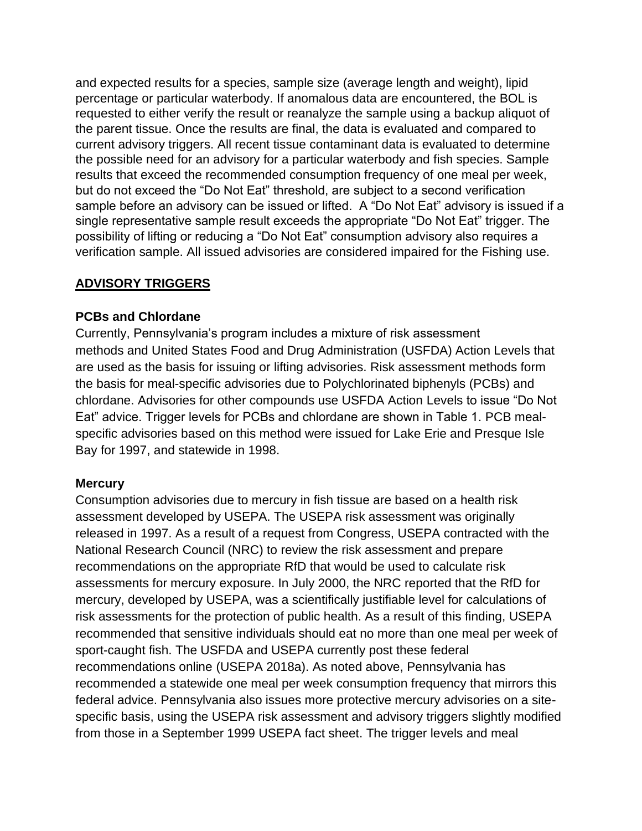and expected results for a species, sample size (average length and weight), lipid percentage or particular waterbody. If anomalous data are encountered, the BOL is requested to either verify the result or reanalyze the sample using a backup aliquot of the parent tissue. Once the results are final, the data is evaluated and compared to current advisory triggers. All recent tissue contaminant data is evaluated to determine the possible need for an advisory for a particular waterbody and fish species. Sample results that exceed the recommended consumption frequency of one meal per week, but do not exceed the "Do Not Eat" threshold, are subject to a second verification sample before an advisory can be issued or lifted. A "Do Not Eat" advisory is issued if a single representative sample result exceeds the appropriate "Do Not Eat" trigger. The possibility of lifting or reducing a "Do Not Eat" consumption advisory also requires a verification sample. All issued advisories are considered impaired for the Fishing use.

#### **ADVISORY TRIGGERS**

#### **PCBs and Chlordane**

Currently, Pennsylvania's program includes a mixture of risk assessment methods and United States Food and Drug Administration (USFDA) Action Levels that are used as the basis for issuing or lifting advisories. Risk assessment methods form the basis for meal-specific advisories due to Polychlorinated biphenyls (PCBs) and chlordane. Advisories for other compounds use USFDA Action Levels to issue "Do Not Eat" advice. Trigger levels for PCBs and chlordane are shown in Table 1. PCB mealspecific advisories based on this method were issued for Lake Erie and Presque Isle Bay for 1997, and statewide in 1998.

#### **Mercury**

Consumption advisories due to mercury in fish tissue are based on a health risk assessment developed by USEPA. The USEPA risk assessment was originally released in 1997. As a result of a request from Congress, USEPA contracted with the National Research Council (NRC) to review the risk assessment and prepare recommendations on the appropriate RfD that would be used to calculate risk assessments for mercury exposure. In July 2000, the NRC reported that the RfD for mercury, developed by USEPA, was a scientifically justifiable level for calculations of risk assessments for the protection of public health. As a result of this finding, USEPA recommended that sensitive individuals should eat no more than one meal per week of sport-caught fish. The USFDA and USEPA currently post these federal recommendations online (USEPA 2018a). As noted above, Pennsylvania has recommended a statewide one meal per week consumption frequency that mirrors this federal advice. Pennsylvania also issues more protective mercury advisories on a sitespecific basis, using the USEPA risk assessment and advisory triggers slightly modified from those in a September 1999 USEPA fact sheet. The trigger levels and meal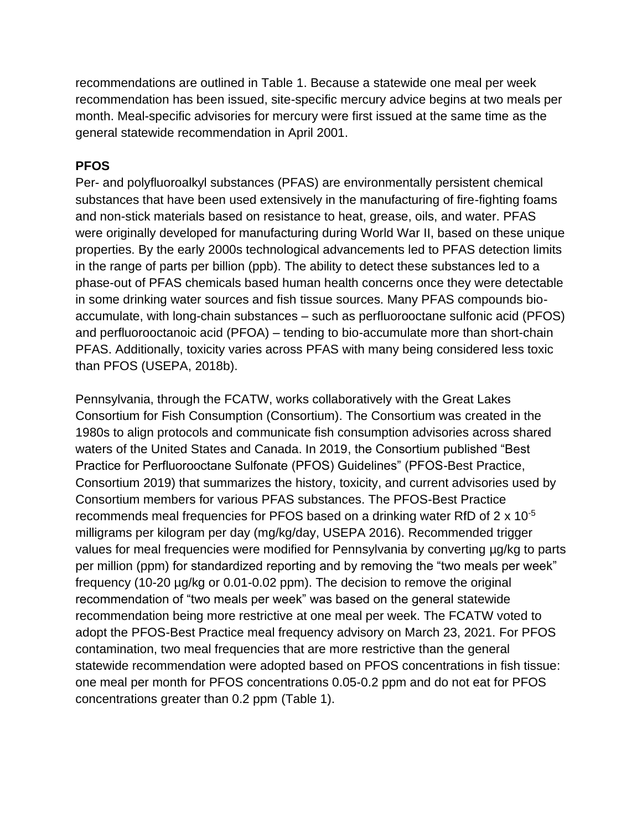recommendations are outlined in Table 1. Because a statewide one meal per week recommendation has been issued, site-specific mercury advice begins at two meals per month. Meal-specific advisories for mercury were first issued at the same time as the general statewide recommendation in April 2001.

#### **PFOS**

Per- and polyfluoroalkyl substances (PFAS) are environmentally persistent chemical substances that have been used extensively in the manufacturing of fire-fighting foams and non-stick materials based on resistance to heat, grease, oils, and water. PFAS were originally developed for manufacturing during World War II, based on these unique properties. By the early 2000s technological advancements led to PFAS detection limits in the range of parts per billion (ppb). The ability to detect these substances led to a phase-out of PFAS chemicals based human health concerns once they were detectable in some drinking water sources and fish tissue sources. Many PFAS compounds bioaccumulate, with long-chain substances – such as perfluorooctane sulfonic acid (PFOS) and perfluorooctanoic acid (PFOA) – tending to bio-accumulate more than short-chain PFAS. Additionally, toxicity varies across PFAS with many being considered less toxic than PFOS (USEPA, 2018b).

Pennsylvania, through the FCATW, works collaboratively with the Great Lakes Consortium for Fish Consumption (Consortium). The Consortium was created in the 1980s to align protocols and communicate fish consumption advisories across shared waters of the United States and Canada. In 2019, the Consortium published "Best Practice for Perfluorooctane Sulfonate (PFOS) Guidelines" (PFOS-Best Practice, Consortium 2019) that summarizes the history, toxicity, and current advisories used by Consortium members for various PFAS substances. The PFOS-Best Practice recommends meal frequencies for PFOS based on a drinking water RfD of 2 x 10-5 milligrams per kilogram per day (mg/kg/day, USEPA 2016). Recommended trigger values for meal frequencies were modified for Pennsylvania by converting µg/kg to parts per million (ppm) for standardized reporting and by removing the "two meals per week" frequency (10-20 µg/kg or 0.01-0.02 ppm). The decision to remove the original recommendation of "two meals per week" was based on the general statewide recommendation being more restrictive at one meal per week. The FCATW voted to adopt the PFOS-Best Practice meal frequency advisory on March 23, 2021. For PFOS contamination, two meal frequencies that are more restrictive than the general statewide recommendation were adopted based on PFOS concentrations in fish tissue: one meal per month for PFOS concentrations 0.05-0.2 ppm and do not eat for PFOS concentrations greater than 0.2 ppm (Table 1).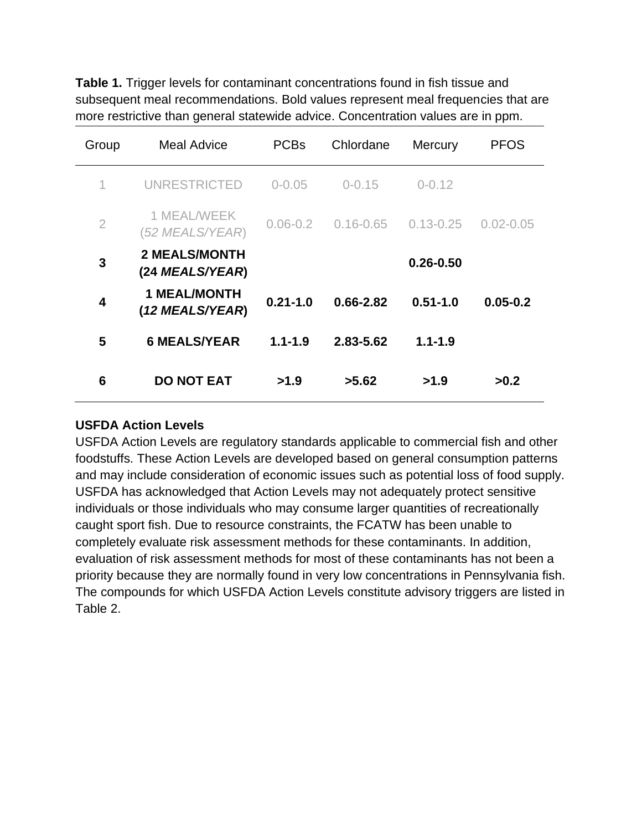**Table 1.** Trigger levels for contaminant concentrations found in fish tissue and subsequent meal recommendations. Bold values represent meal frequencies that are more restrictive than general statewide advice. Concentration values are in ppm.

| Group          | <b>Meal Advice</b>                      | <b>PCBs</b>  | Chlordane     | Mercury       | <b>PFOS</b>   |
|----------------|-----------------------------------------|--------------|---------------|---------------|---------------|
| 1              | <b>UNRESTRICTED</b>                     | $0 - 0.05$   | $0 - 0.15$    | $0 - 0.12$    |               |
| $\overline{2}$ | 1 MEAL/WEEK<br>(52 MEALS/YEAR)          | $0.06 - 0.2$ | $0.16 - 0.65$ | $0.13 - 0.25$ | $0.02 - 0.05$ |
| 3              | <b>2 MEALS/MONTH</b><br>(24 MEALS/YEAR) |              |               | $0.26 - 0.50$ |               |
| 4              | <b>1 MEAL/MONTH</b><br>(12 MEALS/YEAR)  | $0.21 - 1.0$ | $0.66 - 2.82$ | $0.51 - 1.0$  | $0.05 - 0.2$  |
| 5              | <b>6 MEALS/YEAR</b>                     | $1.1 - 1.9$  | 2.83-5.62     | $1.1 - 1.9$   |               |
| 6              | <b>DO NOT EAT</b>                       | >1.9         | >5.62         | >1.9          | >0.2          |

#### **USFDA Action Levels**

USFDA Action Levels are regulatory standards applicable to commercial fish and other foodstuffs. These Action Levels are developed based on general consumption patterns and may include consideration of economic issues such as potential loss of food supply. USFDA has acknowledged that Action Levels may not adequately protect sensitive individuals or those individuals who may consume larger quantities of recreationally caught sport fish. Due to resource constraints, the FCATW has been unable to completely evaluate risk assessment methods for these contaminants. In addition, evaluation of risk assessment methods for most of these contaminants has not been a priority because they are normally found in very low concentrations in Pennsylvania fish. The compounds for which USFDA Action Levels constitute advisory triggers are listed in Table 2.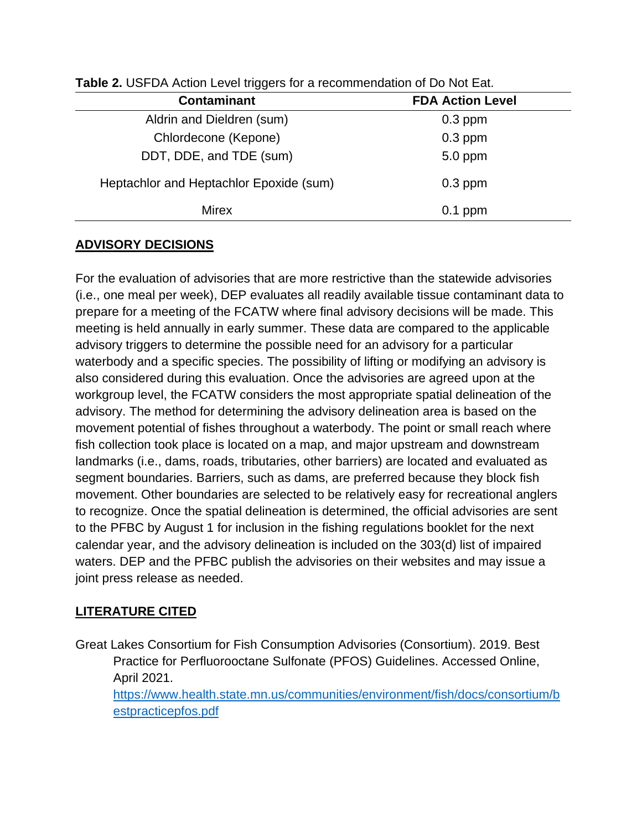| <b>TWIS</b> 2. OOI DAY NUMBER LOYOF MINNOTOF OF A FOCOMMENTALISM DO TYPE LAW. |                         |  |  |  |
|-------------------------------------------------------------------------------|-------------------------|--|--|--|
| <b>Contaminant</b>                                                            | <b>FDA Action Level</b> |  |  |  |
| Aldrin and Dieldren (sum)                                                     | $0.3$ ppm               |  |  |  |
| Chlordecone (Kepone)                                                          | $0.3$ ppm               |  |  |  |
| DDT, DDE, and TDE (sum)                                                       | 5.0 ppm                 |  |  |  |
| Heptachlor and Heptachlor Epoxide (sum)                                       | $0.3$ ppm               |  |  |  |
| <b>Mirex</b>                                                                  | $0.1$ ppm               |  |  |  |
|                                                                               |                         |  |  |  |

**Table 2.** USFDA Action Level triggers for a recommendation of Do Not Eat.

### **ADVISORY DECISIONS**

For the evaluation of advisories that are more restrictive than the statewide advisories (i.e., one meal per week), DEP evaluates all readily available tissue contaminant data to prepare for a meeting of the FCATW where final advisory decisions will be made. This meeting is held annually in early summer. These data are compared to the applicable advisory triggers to determine the possible need for an advisory for a particular waterbody and a specific species. The possibility of lifting or modifying an advisory is also considered during this evaluation. Once the advisories are agreed upon at the workgroup level, the FCATW considers the most appropriate spatial delineation of the advisory. The method for determining the advisory delineation area is based on the movement potential of fishes throughout a waterbody. The point or small reach where fish collection took place is located on a map, and major upstream and downstream landmarks (i.e., dams, roads, tributaries, other barriers) are located and evaluated as segment boundaries. Barriers, such as dams, are preferred because they block fish movement. Other boundaries are selected to be relatively easy for recreational anglers to recognize. Once the spatial delineation is determined, the official advisories are sent to the PFBC by August 1 for inclusion in the fishing regulations booklet for the next calendar year, and the advisory delineation is included on the 303(d) list of impaired waters. DEP and the PFBC publish the advisories on their websites and may issue a joint press release as needed.

## **LITERATURE CITED**

Great Lakes Consortium for Fish Consumption Advisories (Consortium). 2019. Best Practice for Perfluorooctane Sulfonate (PFOS) Guidelines. Accessed Online, April 2021. [https://www.health.state.mn.us/communities/environment/fish/docs/consortium/b](https://www.health.state.mn.us/communities/environment/fish/docs/consortium/bestpracticepfos.pdf) [estpracticepfos.pdf](https://www.health.state.mn.us/communities/environment/fish/docs/consortium/bestpracticepfos.pdf)